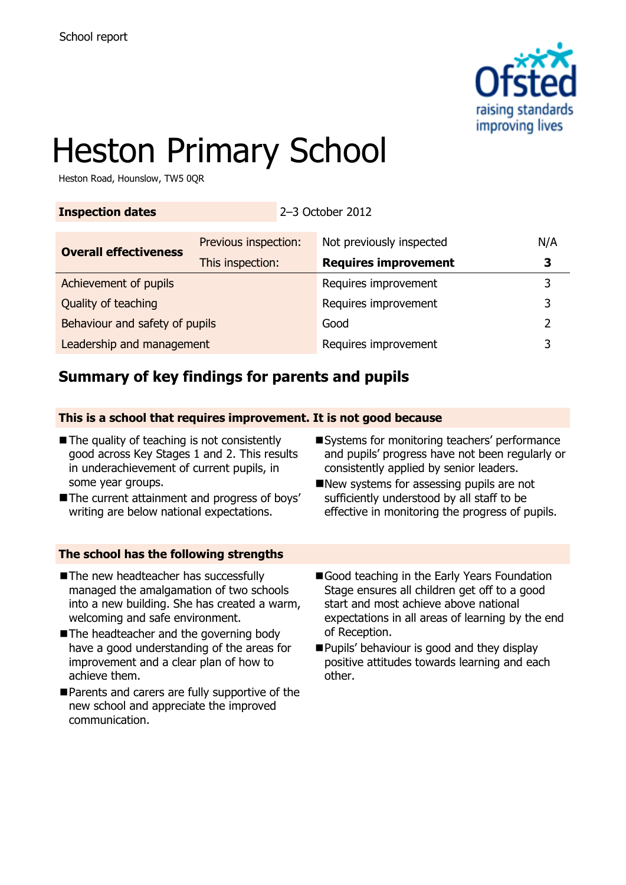

# Heston Primary School

Heston Road, Hounslow, TW5 0QR

### **Inspection dates** 2–3 October 2012

| <b>Overall effectiveness</b>   | Previous inspection: | Not previously inspected    | N/A |
|--------------------------------|----------------------|-----------------------------|-----|
|                                | This inspection:     | <b>Requires improvement</b> |     |
| Achievement of pupils          |                      | Requires improvement        |     |
| Quality of teaching            |                      | Requires improvement        | 3   |
| Behaviour and safety of pupils |                      | Good                        | ר.  |
| Leadership and management      |                      | Requires improvement        |     |

# **Summary of key findings for parents and pupils**

### **This is a school that requires improvement. It is not good because**

- The quality of teaching is not consistently good across Key Stages 1 and 2. This results in underachievement of current pupils, in some year groups.
- The current attainment and progress of boys' writing are below national expectations.
- Systems for monitoring teachers' performance and pupils' progress have not been regularly or consistently applied by senior leaders.
- New systems for assessing pupils are not sufficiently understood by all staff to be effective in monitoring the progress of pupils.

# **The school has the following strengths** The new headteacher has successfully

- managed the amalgamation of two schools into a new building. She has created a warm, welcoming and safe environment.
- The headteacher and the governing body have a good understanding of the areas for improvement and a clear plan of how to achieve them.
- Parents and carers are fully supportive of the new school and appreciate the improved communication.
- Good teaching in the Early Years Foundation Stage ensures all children get off to a good start and most achieve above national expectations in all areas of learning by the end of Reception.
- Pupils' behaviour is good and they display positive attitudes towards learning and each other.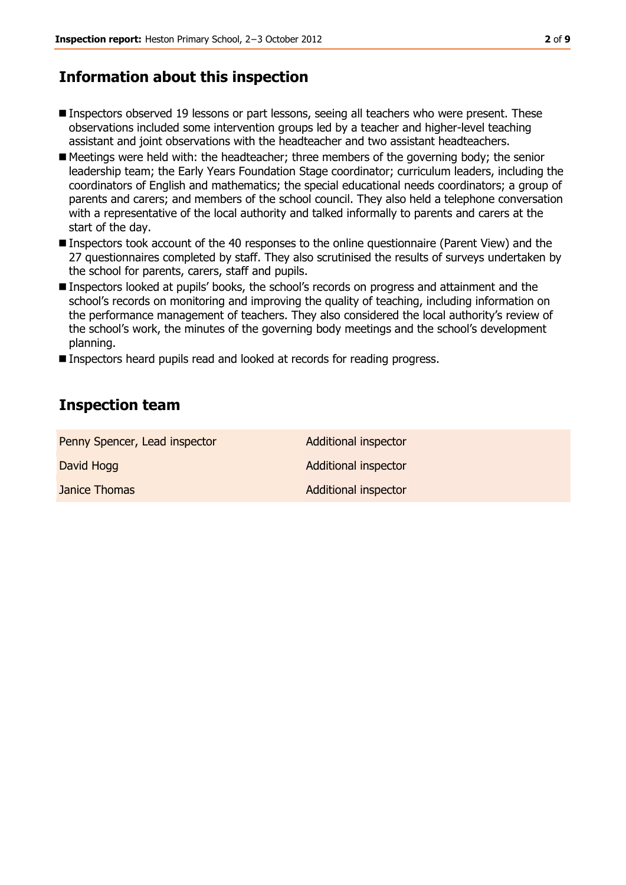# **Information about this inspection**

- Inspectors observed 19 lessons or part lessons, seeing all teachers who were present. These observations included some intervention groups led by a teacher and higher-level teaching assistant and joint observations with the headteacher and two assistant headteachers.
- Meetings were held with: the headteacher; three members of the governing body; the senior leadership team; the Early Years Foundation Stage coordinator; curriculum leaders, including the coordinators of English and mathematics; the special educational needs coordinators; a group of parents and carers; and members of the school council. They also held a telephone conversation with a representative of the local authority and talked informally to parents and carers at the start of the day.
- Inspectors took account of the 40 responses to the online questionnaire (Parent View) and the 27 questionnaires completed by staff. They also scrutinised the results of surveys undertaken by the school for parents, carers, staff and pupils.
- Inspectors looked at pupils' books, the school's records on progress and attainment and the school's records on monitoring and improving the quality of teaching, including information on the performance management of teachers. They also considered the local authority's review of the school's work, the minutes of the governing body meetings and the school's development planning.
- Inspectors heard pupils read and looked at records for reading progress.

# **Inspection team**

| Penny Spencer, Lead inspector | Additional inspector |
|-------------------------------|----------------------|
| David Hogg                    | Additional inspector |
| Janice Thomas                 | Additional inspector |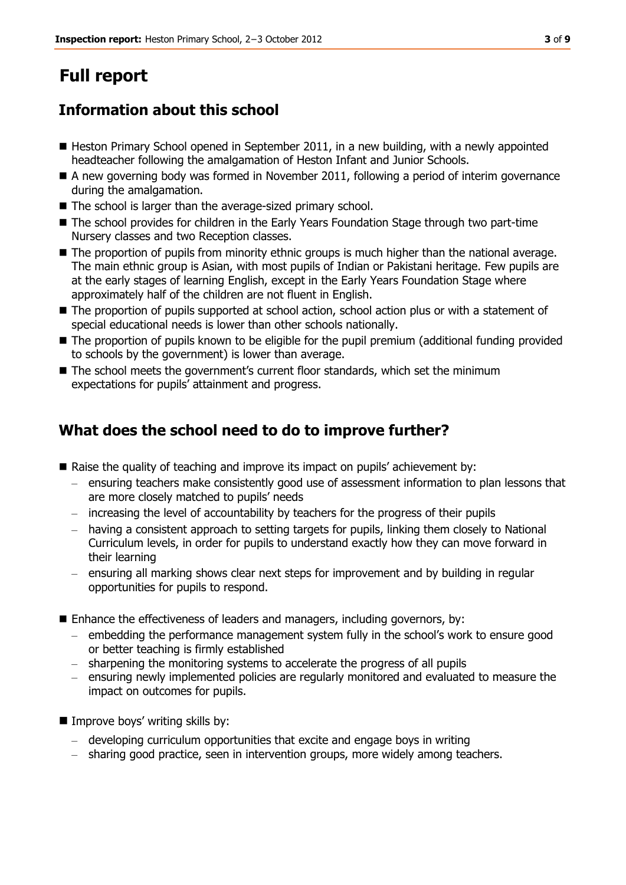# **Full report**

# **Information about this school**

- Heston Primary School opened in September 2011, in a new building, with a newly appointed headteacher following the amalgamation of Heston Infant and Junior Schools.
- A new governing body was formed in November 2011, following a period of interim governance during the amalgamation.
- The school is larger than the average-sized primary school.
- The school provides for children in the Early Years Foundation Stage through two part-time Nursery classes and two Reception classes.
- The proportion of pupils from minority ethnic groups is much higher than the national average. The main ethnic group is Asian, with most pupils of Indian or Pakistani heritage. Few pupils are at the early stages of learning English, except in the Early Years Foundation Stage where approximately half of the children are not fluent in English.
- $\blacksquare$  The proportion of pupils supported at school action, school action plus or with a statement of special educational needs is lower than other schools nationally.
- The proportion of pupils known to be eligible for the pupil premium (additional funding provided to schools by the government) is lower than average.
- The school meets the government's current floor standards, which set the minimum expectations for pupils' attainment and progress.

# **What does the school need to do to improve further?**

- Raise the quality of teaching and improve its impact on pupils' achievement by:
	- ensuring teachers make consistently good use of assessment information to plan lessons that are more closely matched to pupils' needs
	- increasing the level of accountability by teachers for the progress of their pupils
	- having a consistent approach to setting targets for pupils, linking them closely to National Curriculum levels, in order for pupils to understand exactly how they can move forward in their learning
	- ensuring all marking shows clear next steps for improvement and by building in regular opportunities for pupils to respond.
- Enhance the effectiveness of leaders and managers, including governors, by:
	- embedding the performance management system fully in the school's work to ensure good or better teaching is firmly established
	- sharpening the monitoring systems to accelerate the progress of all pupils
	- ensuring newly implemented policies are regularly monitored and evaluated to measure the impact on outcomes for pupils.
- $\blacksquare$  Improve boys' writing skills by:
	- developing curriculum opportunities that excite and engage boys in writing
	- sharing good practice, seen in intervention groups, more widely among teachers.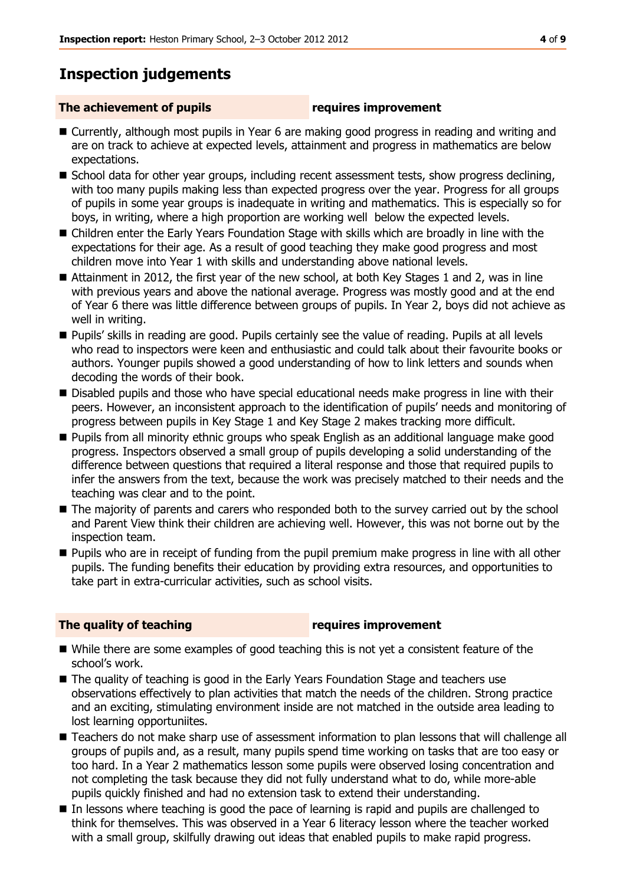# **Inspection judgements**

#### **The achievement of pupils requires improvement**

- Currently, although most pupils in Year 6 are making good progress in reading and writing and are on track to achieve at expected levels, attainment and progress in mathematics are below expectations.
- School data for other year groups, including recent assessment tests, show progress declining, with too many pupils making less than expected progress over the year. Progress for all groups of pupils in some year groups is inadequate in writing and mathematics. This is especially so for boys, in writing, where a high proportion are working well below the expected levels.
- Children enter the Early Years Foundation Stage with skills which are broadly in line with the expectations for their age. As a result of good teaching they make good progress and most children move into Year 1 with skills and understanding above national levels.
- Attainment in 2012, the first year of the new school, at both Key Stages 1 and 2, was in line with previous years and above the national average. Progress was mostly good and at the end of Year 6 there was little difference between groups of pupils. In Year 2, boys did not achieve as well in writing.
- Pupils' skills in reading are good. Pupils certainly see the value of reading. Pupils at all levels who read to inspectors were keen and enthusiastic and could talk about their favourite books or authors. Younger pupils showed a good understanding of how to link letters and sounds when decoding the words of their book.
- Disabled pupils and those who have special educational needs make progress in line with their peers. However, an inconsistent approach to the identification of pupils' needs and monitoring of progress between pupils in Key Stage 1 and Key Stage 2 makes tracking more difficult.
- **Pupils from all minority ethnic groups who speak English as an additional language make good** progress. Inspectors observed a small group of pupils developing a solid understanding of the difference between questions that required a literal response and those that required pupils to infer the answers from the text, because the work was precisely matched to their needs and the teaching was clear and to the point.
- $\blacksquare$  The majority of parents and carers who responded both to the survey carried out by the school and Parent View think their children are achieving well. However, this was not borne out by the inspection team.
- **Pupils who are in receipt of funding from the pupil premium make progress in line with all other** pupils. The funding benefits their education by providing extra resources, and opportunities to take part in extra-curricular activities, such as school visits.

### **The quality of teaching requires improvement**

- While there are some examples of good teaching this is not yet a consistent feature of the school's work.
- The quality of teaching is good in the Early Years Foundation Stage and teachers use observations effectively to plan activities that match the needs of the children. Strong practice and an exciting, stimulating environment inside are not matched in the outside area leading to lost learning opportuniites.
- Teachers do not make sharp use of assessment information to plan lessons that will challenge all groups of pupils and, as a result, many pupils spend time working on tasks that are too easy or too hard. In a Year 2 mathematics lesson some pupils were observed losing concentration and not completing the task because they did not fully understand what to do, while more-able pupils quickly finished and had no extension task to extend their understanding.
- In lessons where teaching is good the pace of learning is rapid and pupils are challenged to think for themselves. This was observed in a Year 6 literacy lesson where the teacher worked with a small group, skilfully drawing out ideas that enabled pupils to make rapid progress.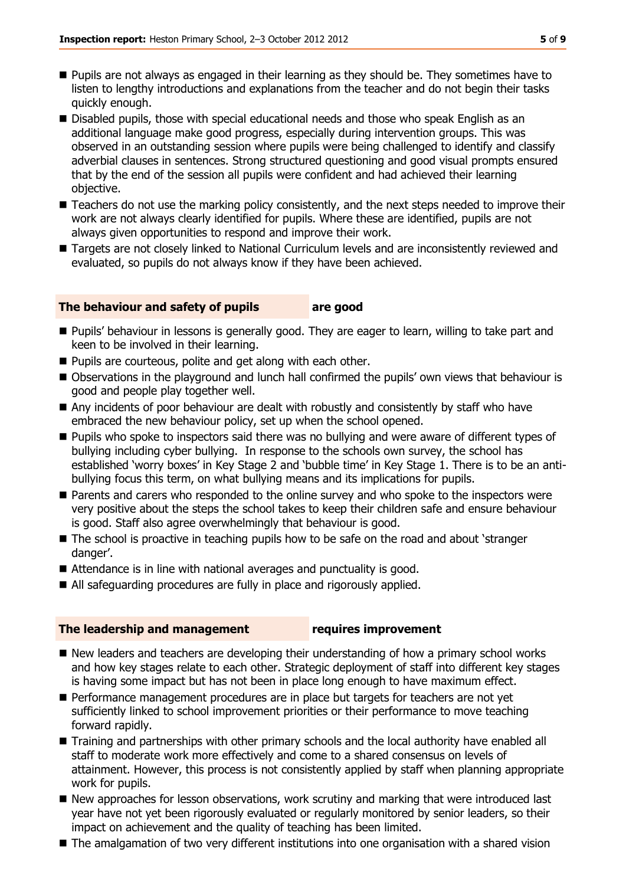- **Pupils are not always as engaged in their learning as they should be. They sometimes have to** listen to lengthy introductions and explanations from the teacher and do not begin their tasks quickly enough.
- Disabled pupils, those with special educational needs and those who speak English as an additional language make good progress, especially during intervention groups. This was observed in an outstanding session where pupils were being challenged to identify and classify adverbial clauses in sentences. Strong structured questioning and good visual prompts ensured that by the end of the session all pupils were confident and had achieved their learning objective.
- Teachers do not use the marking policy consistently, and the next steps needed to improve their work are not always clearly identified for pupils. Where these are identified, pupils are not always given opportunities to respond and improve their work.
- Targets are not closely linked to National Curriculum levels and are inconsistently reviewed and evaluated, so pupils do not always know if they have been achieved.

#### **The behaviour and safety of pupils are good**

- **Pupils' behaviour in lessons is generally good. They are eager to learn, willing to take part and** keen to be involved in their learning.
- **Pupils are courteous, polite and get along with each other.**
- Observations in the playground and lunch hall confirmed the pupils' own views that behaviour is good and people play together well.
- Any incidents of poor behaviour are dealt with robustly and consistently by staff who have embraced the new behaviour policy, set up when the school opened.
- **Pupils who spoke to inspectors said there was no bullying and were aware of different types of** bullying including cyber bullying. In response to the schools own survey, the school has established 'worry boxes' in Key Stage 2 and 'bubble time' in Key Stage 1. There is to be an antibullying focus this term, on what bullying means and its implications for pupils.
- **Parents and carers who responded to the online survey and who spoke to the inspectors were** very positive about the steps the school takes to keep their children safe and ensure behaviour is good. Staff also agree overwhelmingly that behaviour is good.
- The school is proactive in teaching pupils how to be safe on the road and about 'stranger danger'.
- Attendance is in line with national averages and punctuality is good.
- All safeguarding procedures are fully in place and rigorously applied.

#### **The leadership and management requires improvement**

- New leaders and teachers are developing their understanding of how a primary school works and how key stages relate to each other. Strategic deployment of staff into different key stages is having some impact but has not been in place long enough to have maximum effect.
- Performance management procedures are in place but targets for teachers are not yet sufficiently linked to school improvement priorities or their performance to move teaching forward rapidly.
- Training and partnerships with other primary schools and the local authority have enabled all staff to moderate work more effectively and come to a shared consensus on levels of attainment. However, this process is not consistently applied by staff when planning appropriate work for pupils.
- New approaches for lesson observations, work scrutiny and marking that were introduced last year have not yet been rigorously evaluated or regularly monitored by senior leaders, so their impact on achievement and the quality of teaching has been limited.
- $\blacksquare$  The amalgamation of two very different institutions into one organisation with a shared vision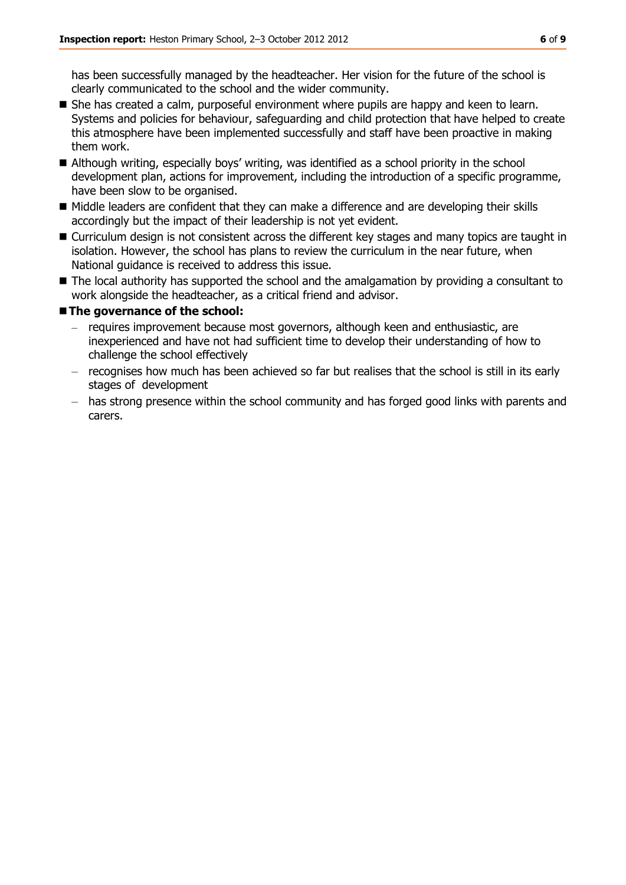has been successfully managed by the headteacher. Her vision for the future of the school is clearly communicated to the school and the wider community.

- She has created a calm, purposeful environment where pupils are happy and keen to learn. Systems and policies for behaviour, safeguarding and child protection that have helped to create this atmosphere have been implemented successfully and staff have been proactive in making them work.
- Although writing, especially boys' writing, was identified as a school priority in the school development plan, actions for improvement, including the introduction of a specific programme, have been slow to be organised.
- Middle leaders are confident that they can make a difference and are developing their skills accordingly but the impact of their leadership is not yet evident.
- Curriculum design is not consistent across the different key stages and many topics are taught in isolation. However, the school has plans to review the curriculum in the near future, when National guidance is received to address this issue.
- The local authority has supported the school and the amalgamation by providing a consultant to work alongside the headteacher, as a critical friend and advisor.

#### **The governance of the school:**

- requires improvement because most governors, although keen and enthusiastic, are inexperienced and have not had sufficient time to develop their understanding of how to challenge the school effectively
- recognises how much has been achieved so far but realises that the school is still in its early stages of development
- has strong presence within the school community and has forged good links with parents and carers.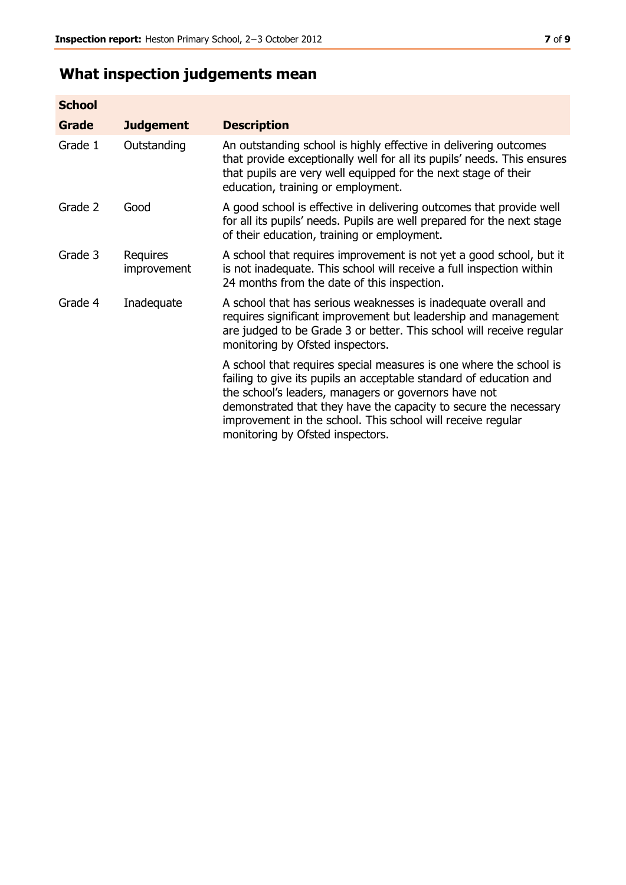# **What inspection judgements mean**

| <b>School</b> |                         |                                                                                                                                                                                                                                                                                                                                                                         |
|---------------|-------------------------|-------------------------------------------------------------------------------------------------------------------------------------------------------------------------------------------------------------------------------------------------------------------------------------------------------------------------------------------------------------------------|
| <b>Grade</b>  | <b>Judgement</b>        | <b>Description</b>                                                                                                                                                                                                                                                                                                                                                      |
| Grade 1       | Outstanding             | An outstanding school is highly effective in delivering outcomes<br>that provide exceptionally well for all its pupils' needs. This ensures<br>that pupils are very well equipped for the next stage of their<br>education, training or employment.                                                                                                                     |
| Grade 2       | Good                    | A good school is effective in delivering outcomes that provide well<br>for all its pupils' needs. Pupils are well prepared for the next stage<br>of their education, training or employment.                                                                                                                                                                            |
| Grade 3       | Requires<br>improvement | A school that requires improvement is not yet a good school, but it<br>is not inadequate. This school will receive a full inspection within<br>24 months from the date of this inspection.                                                                                                                                                                              |
| Grade 4       | Inadequate              | A school that has serious weaknesses is inadequate overall and<br>requires significant improvement but leadership and management<br>are judged to be Grade 3 or better. This school will receive regular<br>monitoring by Ofsted inspectors.                                                                                                                            |
|               |                         | A school that requires special measures is one where the school is<br>failing to give its pupils an acceptable standard of education and<br>the school's leaders, managers or governors have not<br>demonstrated that they have the capacity to secure the necessary<br>improvement in the school. This school will receive regular<br>monitoring by Ofsted inspectors. |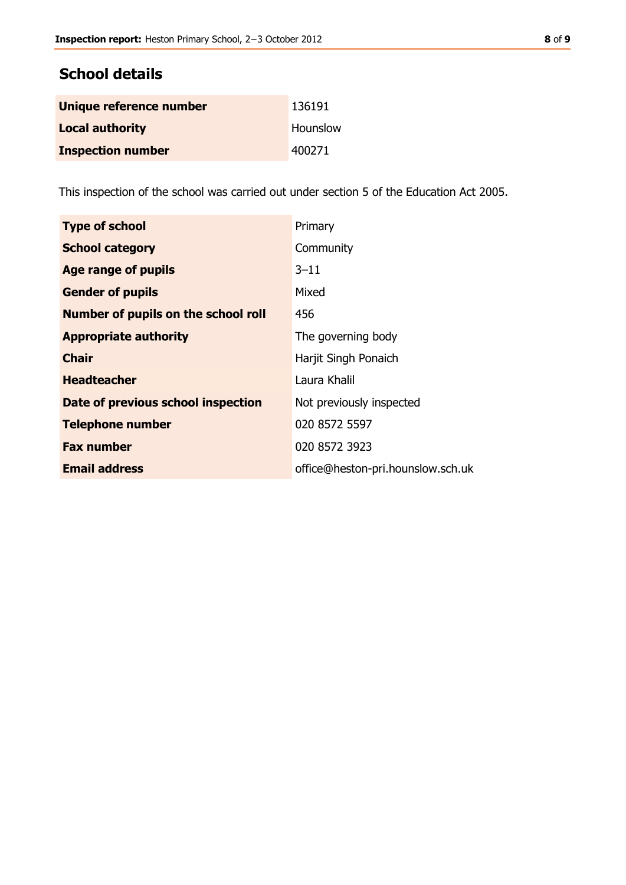# **School details**

| Unique reference number  | 136191   |
|--------------------------|----------|
| <b>Local authority</b>   | Hounslow |
| <b>Inspection number</b> | 400271   |

This inspection of the school was carried out under section 5 of the Education Act 2005.

| <b>Type of school</b>               | Primary                           |
|-------------------------------------|-----------------------------------|
| <b>School category</b>              | Community                         |
| Age range of pupils                 | $3 - 11$                          |
| <b>Gender of pupils</b>             | Mixed                             |
| Number of pupils on the school roll | 456                               |
| <b>Appropriate authority</b>        | The governing body                |
| <b>Chair</b>                        | Harjit Singh Ponaich              |
| <b>Headteacher</b>                  | Laura Khalil                      |
| Date of previous school inspection  | Not previously inspected          |
| <b>Telephone number</b>             | 020 8572 5597                     |
| <b>Fax number</b>                   | 020 8572 3923                     |
| <b>Email address</b>                | office@heston-pri.hounslow.sch.uk |